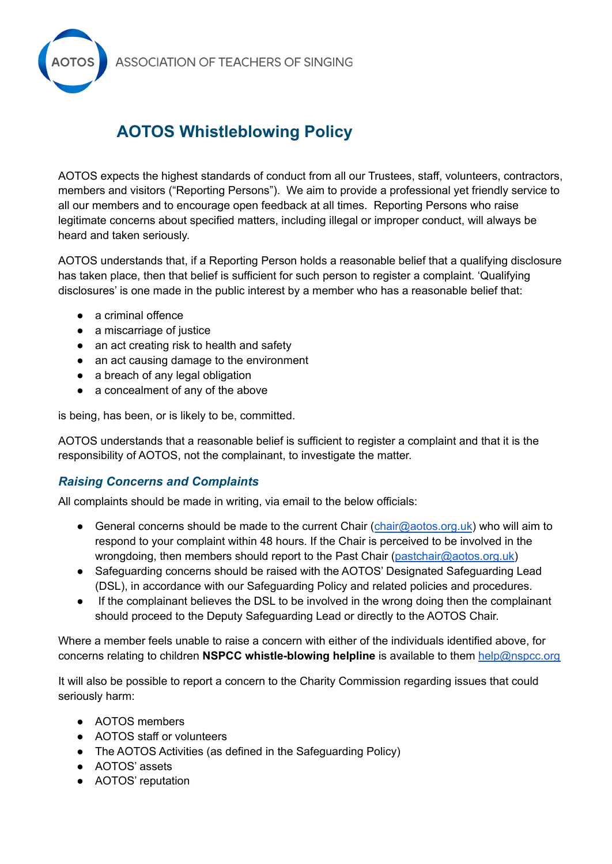**ASSOCIATION OF TEACHERS OF SINGING** 



## **AOTOS Whistleblowing Policy**

AOTOS expects the highest standards of conduct from all our Trustees, staff, volunteers, contractors, members and visitors ("Reporting Persons"). We aim to provide a professional yet friendly service to all our members and to encourage open feedback at all times. Reporting Persons who raise legitimate concerns about specified matters, including illegal or improper conduct, will always be heard and taken seriously.

AOTOS understands that, if a Reporting Person holds a reasonable belief that a qualifying disclosure has taken place, then that belief is sufficient for such person to register a complaint. 'Qualifying disclosures' is one made in the public interest by a member who has a reasonable belief that:

- a criminal offence
- a miscarriage of justice
- an act creating risk to health and safety
- an act causing damage to the environment
- a breach of any legal obligation
- a concealment of any of the above

is being, has been, or is likely to be, committed.

AOTOS understands that a reasonable belief is sufficient to register a complaint and that it is the responsibility of AOTOS, not the complainant, to investigate the matter.

## *Raising Concerns and Complaints*

All complaints should be made in writing, via email to the below officials:

- General concerns should be made to the current Chair ([chair@aotos.org.uk](mailto:chair@aotos.org.uk)) who will aim to respond to your complaint within 48 hours. If the Chair is perceived to be involved in the wrongdoing, then members should report to the Past Chair ([pastchair@aotos.org.uk](mailto:pastchair@aotos.org.uk))
- Safeguarding concerns should be raised with the AOTOS' Designated Safeguarding Lead (DSL), in accordance with our Safeguarding Policy and related policies and procedures.
- If the complainant believes the DSL to be involved in the wrong doing then the complainant should proceed to the Deputy Safeguarding Lead or directly to the AOTOS Chair.

Where a member feels unable to raise a concern with either of the individuals identified above, for concerns relating to children **NSPCC whistle-blowing helpline** is available to them [help@nspcc.org](mailto:help@nspcc.org)

It will also be possible to report a concern to the Charity Commission regarding issues that could seriously harm:

- AOTOS members
- AOTOS staff or volunteers
- The AOTOS Activities (as defined in the Safeguarding Policy)
- AOTOS' assets
- AOTOS' reputation